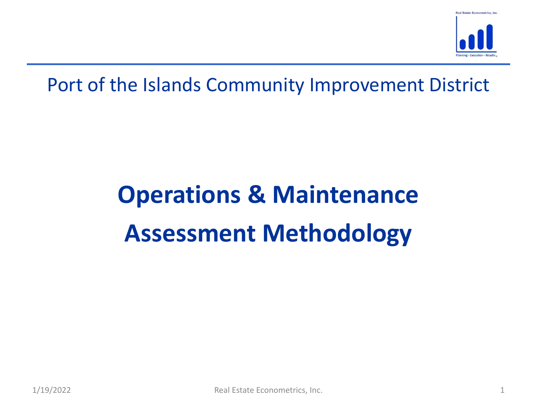

# Assessment Methodology<br>
Real Estate Econometrics, Inc. Operations & Maintenance Assessment Methodology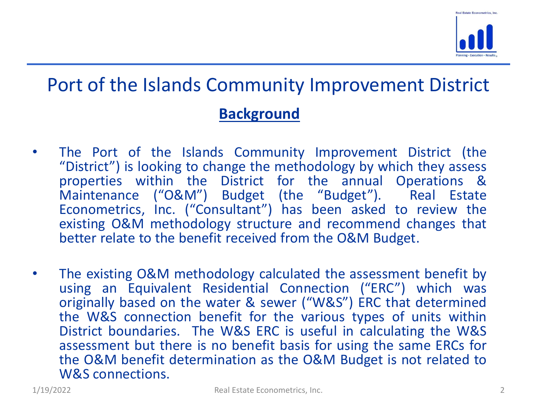

### Background

- **Port of the Islands Community Improvement District**<br> **Background**<br>
 The Port of the Islands Community Improvement District (the<br>
"District") is looking to change the methodology by which they assess<br>
properties within th The Port of the Islands Community Improvement District<br>
Background<br>
The Port of the Islands Community Improvement District (the<br>
"District") is looking to change the methodology by which they assess<br>
properties within the **ort of the Islands Community Improvement District**<br> **Background**<br>
The Port of the Islands Community Improvement District (the<br>
"District") is looking to change the methodology by which they assess<br>
properties within the D **Solution:**<br> **Solution:**<br> **Solution:**<br>
The Port of the Islands Community Improvement District (the "District") is looking to change the methodology by which they assess<br>
Maintenance ("O&M") Budget (the "Budget"). Real Esta **Economist Community Improvement District**<br> **Eackground**<br>
The Port of the Islands Community Improvement District (the<br>
"District") is looking to change the methodology by which they assess<br>
properties within the District f existing O&M methodology calculated the assessment benefit by<br>The Port of the Islands Community Improvement District (the<br>"District") is looking to change the methodology by which they assess<br>properties within the District **Sackground<br>
Background**<br> **Background**<br>
The Port of the Islands Community Improvement District (the<br>
"District") is looking to change the methodology by which they assess<br>
properties within the District for the annual Oper **Background**<br>
• The Port of the Islands Community Improvement District (the<br>
"District") is looking to change the methodology by which they assess<br>
properties within the District for the annual Operations &<br>
Maintenance (" The Port of the Islands Community Improvement District (the "District") is looking to change the methodology by which they assess properties within the District for the annual Operations & Maintenance ("O&M") Budget (the " The Port of the Islands Community Improvement District (the "District") is looking to change the methodology by which they assess properties within the District for the annual Operations & Maintenance ("O&M") Budget (the "
- existing O&M methodology structure and recommend changes that<br>better relate to the benefit received from the O&M Budget.<br>The existing O&M methodology calculated the assessment benefit by<br>using an Equivalent Residential Con The Port of the Islands Community Improvement District (the "District") is looking to change the methodology by which they assess properties within the District for the annual Operations & Maintenance ("O&M") Budget (the " "District") is looking to change the methodology by which they assess<br>properties within the District for the annual Operations &<br>Maintenance ("O&M") Budget (the "Budget"). Real Estate<br>Econometrics, Inc. ("Consultant") has properties within the District tor the annual Operations &<br>Maintenance ("O&M") Budget (the "Budget"). Real Estate<br>Econometrics, Inc. ("Consultant") has been asked to review the<br>existing O&M methodology structure and recomm Maintenance ("O&M") Budget (the "Budget"). Real Estate<br>Econometrics, Inc. ("Consultant") has been asked to review the<br>existing O&M methodology structure and recommend changes that<br>better relate to the benefit received from Econometrics, Inc. ("Consultant") has k<br>existing O&M methodology structure and<br>better relate to the benefit received from t<br>The existing O&M methodology calculate<br>using an Equivalent Residential Conne<br>originally based on t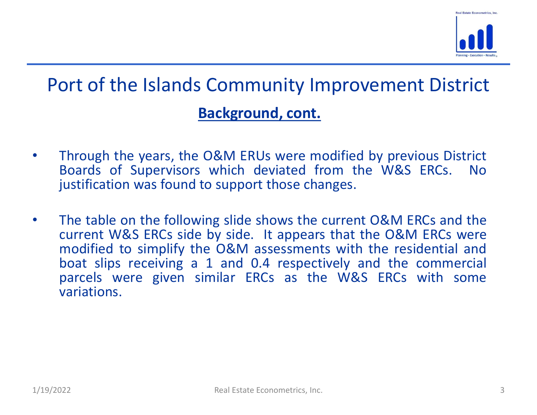

### Background, cont.

- Through the years, the O&M ERUs were modified by previous District<br>Boards of Supervisors which deviated from the W&S ERCs. No<br>justification was found to support those changes. Ort of the Islands Community Improvement District<br> **Background, cont.**<br>
Through the years, the O&M ERUs were modified by previous District<br>
Boards of Supervisors which deviated from the W&S ERCs. No<br>
The table on the follo **Solution Starting Community Improvement District**<br> **Eackground, cont.**<br>
Through the years, the O&M ERUs were modified by previous District<br>
Boards of Supervisors which deviated from the W&S ERCs. No<br>
justification was fou
- The table of the following side shows the current V&W ENCs and the<br>current W&S ERCs side by side. It appears that the O&M ERCs were<br>modified to simplify the O&M assessments with the residential and<br>boat slips receiving a 1 • Through the years, the O&M ERUs were modified by previous District<br>
• Through the years, the O&M ERUs were modified by previous District<br>
Boards of Supervisors which deviated from the W&S ERCs. No<br>
justification was foun **Community Improvement District**<br>**Background, cont.**<br>Through the years, the O&M ERUs were modified by previous District<br>Boards of Supervisors which deviated from the W&S ERCs. No<br>justification was found to support those ch **Example 15 Solution Scheme Scheme Scheme Scheme Scheme Scheme Scheme Scheme Scheme Scheme Scheme Scheme Scheme Scheme Scheme Scheme Scheme Scheme Scheme Scheme Scheme Scheme Scheme Scheme Scheme Scheme Scheme Scheme Schem Background, cont.**<br>Through the years, the O&M ERUs were modified by previous District<br>Boards of Supervisors which deviated from the W&S ERCs. No<br>justification was found to support those changes.<br>The table on the following **Background, cont.**<br>Through the years, the O&M ERUs were modified by previous District<br>Boards of Supervisors which deviated from the W&S ERCs. No<br>justification was found to support those changes.<br>The table on the following variations.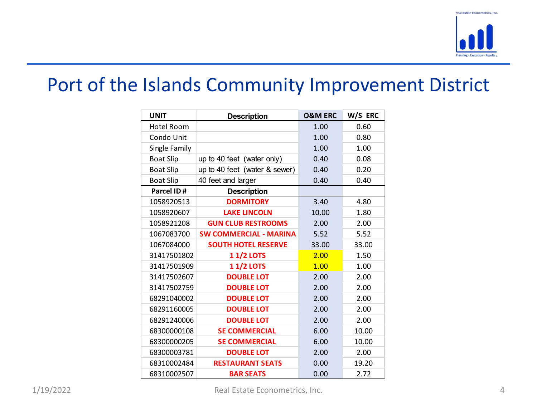

|                            |                                                    |                    |               | <b>Real Estate Econometrics, Inc.</b> |  |
|----------------------------|----------------------------------------------------|--------------------|---------------|---------------------------------------|--|
|                            |                                                    |                    |               |                                       |  |
|                            |                                                    |                    |               |                                       |  |
|                            |                                                    |                    |               | Planning-Execution-Results            |  |
|                            |                                                    |                    |               |                                       |  |
|                            |                                                    |                    |               |                                       |  |
|                            | Port of the Islands Community Improvement District |                    |               |                                       |  |
|                            |                                                    |                    |               |                                       |  |
| <b>UNIT</b>                | <b>Description</b>                                 | <b>O&amp;M ERC</b> | W/S ERC       |                                       |  |
| Hotel Room                 |                                                    | 1.00               | 0.60          |                                       |  |
| Condo Unit                 |                                                    | 1.00               | 0.80          |                                       |  |
| Single Family              |                                                    | 1.00               | 1.00          |                                       |  |
| <b>Boat Slip</b>           | up to 40 feet (water only)                         | 0.40               | 0.08          |                                       |  |
| <b>Boat Slip</b>           | $\mu$ up to 40 feet (water & sewer)                | 0.40               | 0.20          |                                       |  |
| <b>Boat Slip</b>           | 40 feet and larger                                 | 0.40               | 0.40          |                                       |  |
| Parcel ID#                 | <b>Description</b>                                 |                    |               |                                       |  |
| 1058920513                 | <b>DORMITORY</b>                                   | 3.40               | 4.80          |                                       |  |
| 1058920607                 | <b>LAKE LINCOLN</b>                                | 10.00              | 1.80          |                                       |  |
| 1058921208                 | <b>GUN CLUB RESTROOMS</b>                          | 2.00               | 2.00          |                                       |  |
| 1067083700                 | <b>SW COMMERCIAL - MARINA</b>                      | 5.52               | 5.52          |                                       |  |
| 1067084000                 | <b>SOUTH HOTEL RESERVE</b>                         | 33.00              | 33.00         |                                       |  |
| 31417501802                | <b>11/2 LOTS</b>                                   | 2.00               | 1.50          |                                       |  |
| 31417501909                | <b>11/2 LOTS</b>                                   | 1.00               | 1.00          |                                       |  |
| 31417502607                | <b>DOUBLE LOT</b>                                  | 2.00               | 2.00          |                                       |  |
| 31417502759                | <b>DOUBLE LOT</b>                                  | 2.00               | 2.00          |                                       |  |
| 68291040002                | <b>DOUBLE LOT</b>                                  | 2.00               | 2.00          |                                       |  |
| 68291160005                | <b>DOUBLE LOT</b>                                  | 2.00               | 2.00          |                                       |  |
| 68291240006<br>68300000108 | <b>DOUBLE LOT</b><br><b>SE COMMERCIAL</b>          | 2.00               | 2.00<br>10.00 |                                       |  |
| 68300000205                | <b>SE COMMERCIAL</b>                               | 6.00<br>6.00       | 10.00         |                                       |  |
|                            | <b>DOUBLE LOT</b>                                  | 2.00               | 2.00          |                                       |  |
|                            | <b>RESTAURANT SEATS</b>                            | 0.00               | 19.20         |                                       |  |
| 68300003781                |                                                    |                    |               |                                       |  |
| 68310002484<br>68310002507 | <b>BAR SEATS</b>                                   | 0.00               | 2.72          |                                       |  |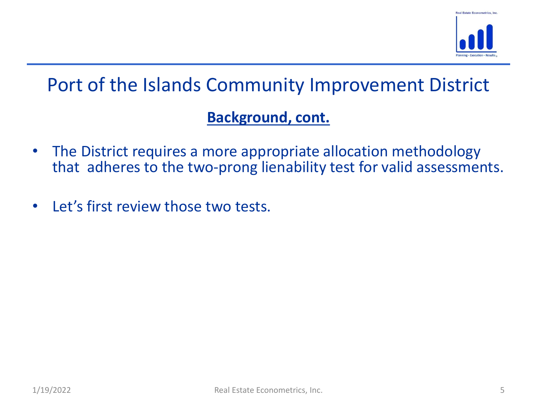

### Background, cont.

- The District requires a more appropriate allocation methodology<br>that adheres to the two-prong lienability test for valid assessments. **Port of the Islands Community Improvement District**<br> **Background, cont.**<br>
The District requires a more appropriate allocation methodology<br>
that adheres to the two-prong lienability test for valid assessments.<br>
Let's first
- Let's first review those two tests.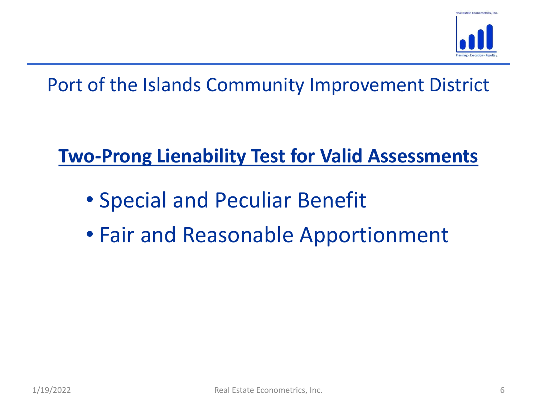

# Two-Prong Lienability Test for Valid Assessments

- Special and Peculiar Benefit
- Fair and Reasonable Apportionment<br>  $\frac{1}{1}$ <br>  $\frac{1}{1}$ <br>  $\frac{1}{1}$ • Fair and Reasonable Apportionment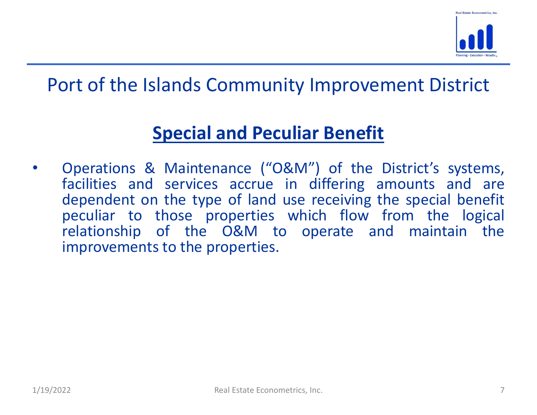

# Special and Peculiar Benefit

relationship of the O&M to operate and maintain the<br>improvements to the properties.<br>1/19/2022 Real Estate Econometrics, Inc. 7 **Port of the Islands Community Improvement District**<br> **Special and Peculiar Benefit**<br>
• Operations & Maintenance ("O&M") of the District's systems,<br>
facilities and services accrue in differing amounts and are<br>
dependent on **Special and Peculiar Benefit**<br> **Special and Peculiar Benefit**<br> **Special and Peculiar Benefit**<br> **Special and Peculiar Benefit**<br> **Special and Peculiar Benefit**<br> **Special and Services accrue in differing amounts and are depe Special and Peculiar Benefit**<br> **Special and Peculiar Benefit**<br> **Special and Peculiar Benefit**<br> **Conditions 8.** Maintenance ("O&M") of the District's systems,<br>
dependent on the type of land use receiving the special benefi **Special and Peculiar Benefit**<br> **Special and Peculiar Benefit**<br> **Special and Peculiar Benefit**<br>
Operations & Maintenance ("O&M") of the District's systems,<br>
facilities and services accrue in differing amounts and are<br>
depe ort of the Islands Community Improvement District<br>
Special and Peculiar Benefit<br>
Operations & Maintenance ("O&M") of the District's systems,<br>
facilities and services accrue in differing amounts and are<br>
dependent on the ty ort of the Islands Community Improvement<br>
Special and Peculiar Benefit<br>
Operations & Maintenance ("O&M") of the District<br>
facilities and services accrue in differing amount<br>
dependent on the type of land use receiving the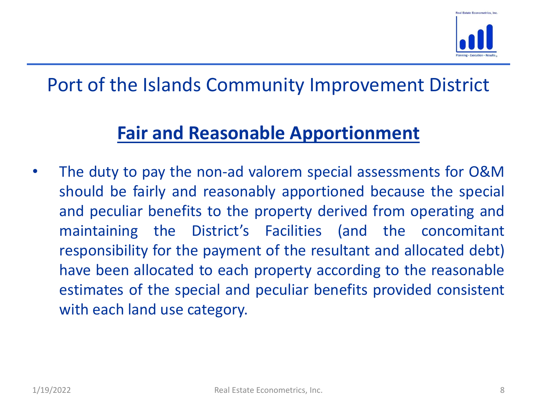

# Fair and Reasonable Apportionment

maintaining the District's Facilities (and the concomitant<br>responsibility for the payment of the resultant and allocated debt)<br>have been allocated to each property according to the reasonable<br>estimates of the special and p • Port of the Islands Community Improvement District<br>
• The duty to pay the non-ad valorem special assessments for O&M<br>
• The duty to pay the non-ad valorem special assessments for O&M<br>
• Should be fairly and reasonably ap ort of the Islands Community Improvement District<br>
Fair and Reasonable Apportionment<br>
The duty to pay the non-ad valorem special assessments for O&M<br>
should be fairly and reasonably apportioned because the special<br>
and pec and **Fair and Reasonable Apportionment**<br> **Fair and Reasonable Apportionment**<br>
The duty to pay the non-ad valorem special assessments for O&M<br>
should be fairly and reasonably apportioned because the special<br>
and peculiar be ort of the Islands Community Improvement District<br> **Fair and Reasonable Apportionment**<br>
The duty to pay the non-ad valorem special assessments for O&M<br>
should be fairly and reasonably apportioned because the special<br>
and p Fair and Reasonable Apportionment District<br>
Fair and Reasonable Apportionment<br>
The duty to pay the non-ad valorem special assessments for O&M<br>
should be fairly and reasonably apportioned because the special<br>
and peculiar b **Fair and Reasonable Apportionment**<br>The duty to pay the non-ad valorem special assessments for O&M<br>should be fairly and reasonably apportioned because the special<br>and peculiar benefits to the property derived from operatin **Fair and Reasonable Apportionment**<br>The duty to pay the non-ad valorem special assessments for O&M<br>should be fairly and reasonably apportioned because the special<br>and peculiar benefits to the property derived from operatin The duty to pay the non-ad valorem special assessm<br>should be fairly and reasonably apportioned becau<br>and peculiar benefits to the property derived from<br>maintaining the District's Facilities (and the<br>responsibility for the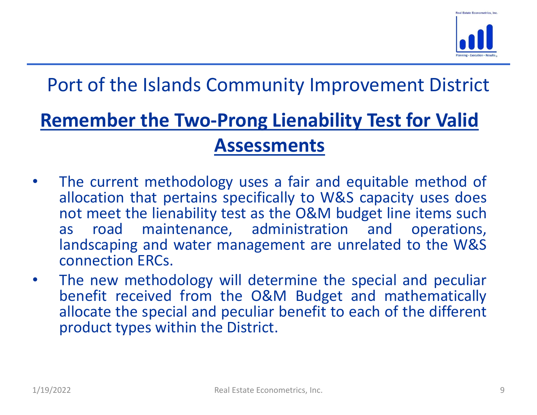

# Remember the Two-Prong Lienability Test for Valid Assessments

- **Port of the Islands Community Improvement District**<br> **Remember the Two-Prong Lienability Test for Valid<br>
Assessments<br>
 The current methodology uses a fair and equitable method of<br>
allocation that pertains specifically allocation to the Islands Community Improvement District**<br> **Example 18 Two-Prong Lienability Test for Valid<br>
Assessments**<br>
The current methodology uses a fair and equitable method of<br>
allocation that pertains specifically not of the Islands Community Improvement District<br> **Imember the Two-Prong Lienability Test for Valid<br>
Assessments<br>
The current methodology uses a fair and equitable method of<br>
allocation that pertains specifically to W&S c** ort of the Islands Community Improvement District<br> **Example 1988 The Two-Prong Lienability Test for Valid<br>
Assessments**<br>
The current methodology uses a fair and equitable method of<br>
allocation that pertains specifically to ort of the Islands Community Improvement District<br> **example in the Two-Prong Lienability Test for Valid**<br> **Assessments**<br>
The current methodology uses a fair and equitable method of<br>
allocation that pertains specifically to **Example 15 The State of Two-Prong Lienability<br>
Assessments**<br>
The current methodology uses a fair and equilocation that pertains specifically to W&S<br>
not meet the lienability test as the O&M bud<br>
as road maintenance, admin **Examember the Two-Prong Lienability Test for Valid<br>
Assessments<br>
• The current methodology uses a fair and equitable method of<br>
allocation that pertains specifically to W&S capacity uses does<br>
not meet the lienability tes Assessments**<br>The current methodology uses a fair and equitable method of<br>allocation that pertains specifically to W&S capacity uses does<br>not meet the lienability test as the O&M budget line items such<br>as road maintenance, **ASSESSMENTS**<br>The current methodology uses a fair and equitable method of<br>allocation that pertains specifically to W&S capacity uses does<br>not meet the lienability test as the O&M budget line items such<br>as road maintenance, The current methodology uses a fair and equitable methodology uses a fair and equitable methodolocation that pertains specifically to W&S capacity uses not meet the lienability test as the O&M budget line items road mainte
- as road maintenance, administration and operations,<br>landscaping and water management are unrelated to the W&S<br>connection ERCs.<br>The new methodology will determine the special and peculiar<br>benefit received from the O&M Budge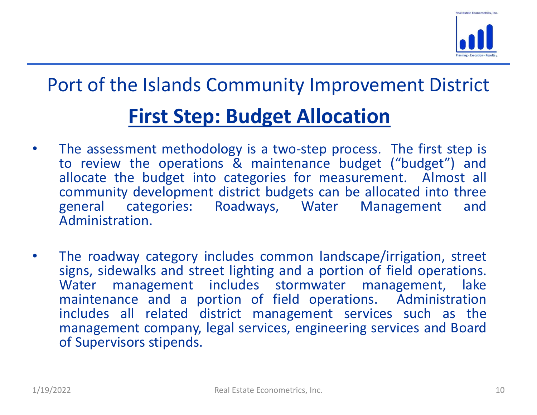

# First Step: Budget Allocation

- **First Step: Budget Allocation**<br>• The assessment methodology is a two-step process. The first step is<br>• The assessment methodology is a two-step process. The first step is<br>• to review the operations & maintenance budget (" ort of the Islands Community Improvement District<br> **First Step: Budget Allocation**<br>
The assessment methodology is a two-step process. The first step is<br>
to review the operations & maintenance budget ("budget") and<br>
allocat ort of the Islands Community Improvement District<br> **First Step: Budget Allocation**<br>
The assessment methodology is a two-step process. The first step is<br>
to review the operations & maintenance budget ("budget") and<br>
allocat **Community Improvement District**<br> **First Step: Budget Allocation**<br>
The assessment methodology is a two-step process. The first step is<br>
to review the operations & maintenance budget ("budget") and<br>
allocate the budget into **Example 18 ISSN COMMUNITY IMPROVEMENT District**<br> **First Step: Budget Allocation**<br>
The assessment methodology is a two-step process. The first step is<br>
to review the operations & maintenance budget ("budget") and<br>
allocate Administration. First Step: Budget Allocation<br>
• The assessment methodology is a two-step process. The first step is<br>
to review the operations & maintenance budget ("budget") and<br>
allocate the budget into categories for measurement. Almos **First Step: Budget Allocation**<br>The assessment methodology is a two-step process. The first step is<br>to review the operations & maintenance budget ("budget") and<br>allocate the budget into categories for measurement. Almost a
- For the roadway category includes common landscape/irrigation, street<br>signs, sidewalks and street lighting and a portion of field operations.<br>Water management includes stormwater management, lake<br>maintenance and a portion Trist Step. Budget Anfold and The assessment methodology is a two-step process. The first step is<br>to review the operations & maintenance budget ("budget") and<br>allocate the budget into categories for measurement. Almost all The assessment methodology is a two-step process. The first step is<br>to review the operations & maintenance budget ("budget") and<br>allocate the budget into categories for measurement. Almost all<br>community development distric The assessment methodology is a two-step process. The tirst step is<br>to review the operations & maintenance budget ("budget") and<br>allocate the budget into categories for measurement. Almost all<br>community development distric to review the operations & maintenance budget ("budget") and<br>allocate the budget into categories for measurement. Almost all<br>general categories: Roadways, Water Management and<br>Administration.<br>The roadway category includes allocate the budget into categories for measure<br>community development district budgets can be a<br>general categories: Roadways, Water M<br>Administration.<br>The roadway category includes common landscap<br>signs, sidewalks and stree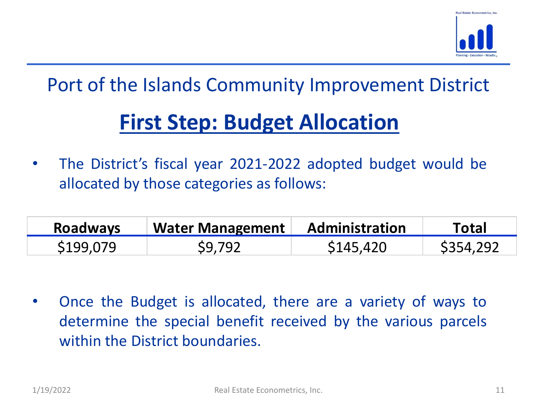

# First Step: Budget Allocation

**Port of the Islands Community Improvement District**<br>
• The District's fiscal year 2021-2022 adopted budget would be<br>
• The District's fiscal year 2021-2022 adopted budget would be<br>
• allocated by those categories as follo ort of the Islands Community Improvement District<br>
First Step: Budget Allocation<br>
The District's fiscal year 2021-2022 adopted budget would be<br>
allocated by those categories as follows:<br> **Roadways** Water Management Adminis

| <b>Roadways</b> | <b>Water Management</b> | <b>Administration</b> | <b>Total</b> |
|-----------------|-------------------------|-----------------------|--------------|
| \$199,079       | S9.792                  | S145,420              | \$354,292    |

1/19/2022 Real Estate Econometrics, Inc. **Community** 1/19/2022 Real Estate Econometrics, Inc. 11 • The District's fiscal year 2021-2022 adopted budget would be allocated by those categories as follows:<br> **Roadways Water Management Administration Total**<br>
\$199,079 \$9,792 \$145,420 \$354,292<br>
• Once the Budget is allocated, The District's fiscal year 2021-2022 adopted budget would be<br>allocated by those categories as follows:<br>consider the special content of the special content of the special content of the special benefit received by the vario allocated by those categories as follows:<br> **Roadways** Water Management Administration<br>
5199,079 \$9,792 \$145,420<br>
Once the Budget is allocated, there are a variety<br>
determine the special benefit received by the var<br>
within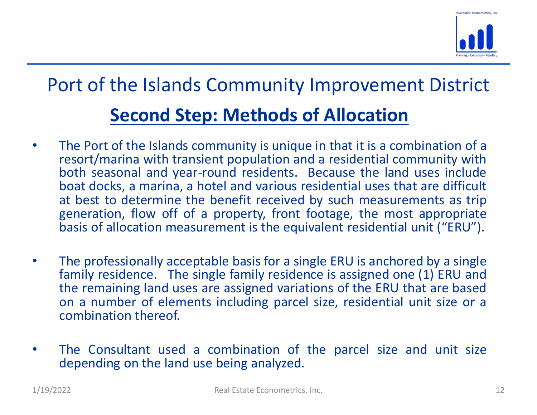

# Port of the Islands Community Improvement District Second Step: Methods of Allocation

- **Fraction Second Step: Methods of Allocation**<br>
 The Port of the Islands Community Improvement District<br>
 The Port of the Islands community is unique in that it is a combination of a<br>
resort/marina with transient populati ort of the Islands Community Improvement District<br>
Second Step: Methods of Allocation<br>
The Port of the Islands community is unique in that it is a combination of a<br>
resort/marina with transient population and a residential **Second Step: Methods of Allocation**<br> **Second Step: Methods of Allocation**<br>
The Port of the Islands community is unique in that it is a combination of a<br>
resort/marina with transient population and a residential community **boat docks, a marina, and various respective that is a combination of a resort/marina with transient population and a residential community with both seasont (marina with transient population and a residential community w and Solution Community Improvement District**<br> **Second Step: Methods of Allocation**<br>
The Port of the Islands community is unique in that it is a combination of a<br>
resort/marina with transient population and a residential c **Second Step: Methods of Allocation**<br>The Port of the Islands Community is unique in that it is a combination of a<br>resort/marina with transient population and a residential community with<br>both seasonal and year-round reside **Society: Second Step: Methods of Allocation**<br>The Port of the Islands community is unique in that it is a combination of a<br>resort/marina with transient population and a residential community with<br>both seasonal and year-r **• Second Step: Methods of Allocation**<br>• The Port of the Islands community is unique in that it is a combination of a<br>resort/marina with transient population and a residential community with<br>both seasonal and year-round re **Second Step: Methods of Allocation**<br>The Port of the Islands community is unique in that it is a combination of a<br>resort/marina with transient population and a residential community with<br>both seasonal and year-round reside The Port of the Islands community is unique in that it is a combination of a<br>resort/marina with transient population and a residential community with<br>both seasonal and year-round residents. Because the land uses include<br>ba The Port of the Islands community is unique in that it is a combination of a<br>resort/marina with transient population and a residential community with<br>both seasonal and year-round residents. Because the land uses include<br>bo The Fort of the Islamas community is dinique in that<br>resort/marina with transient population and a resid<br>both seasonal and year-round residents. Because<br>at docks, a marina, a hotel and various residentia<br>at best to determi
- basis of allocation measurement is the equivalent residential unit ("ERU").<br>
 The professionally acceptable basis for a single ERU is anchored by a single<br>
family residence. The single family residence is assigned one (1 **Solution 1999 and Solution Solution** and the benefit received by such measurements as trip generation, flow off of a property, front footage, the most appropriate basis of allocation measurement is the equivalent resident at best to determine the benefit received by such measurements as the generation, flow off of a property, front footage, the most appropriabasis of allocation measurement is the equivalent residential unit ("ERU").<br>The pro
-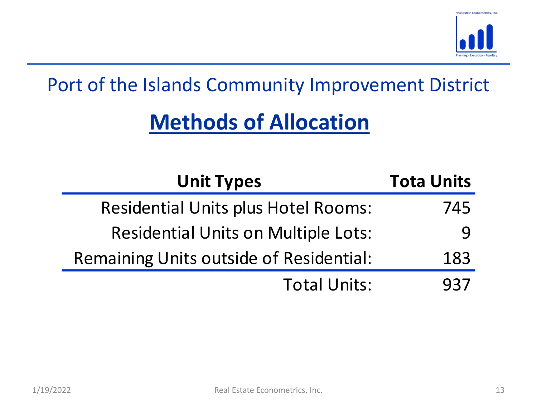

# Methods of Allocation

|           | Port of the Islands Community Improvement District |                   |    |
|-----------|----------------------------------------------------|-------------------|----|
|           | <b>Methods of Allocation</b>                       |                   |    |
|           | <b>Unit Types</b>                                  | <b>Tota Units</b> |    |
|           | <b>Residential Units plus Hotel Rooms:</b>         | 745               |    |
|           | <b>Residential Units on Multiple Lots:</b>         | 9                 |    |
|           | <b>Remaining Units outside of Residential:</b>     | 183               |    |
|           | <b>Total Units:</b>                                | 937               |    |
|           |                                                    |                   |    |
|           |                                                    |                   |    |
|           |                                                    |                   |    |
| 1/19/2022 | Real Estate Econometrics, Inc.                     |                   | 13 |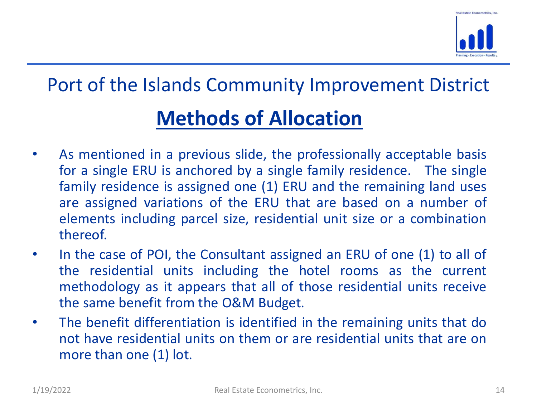

# Port of the Islands Community Improvement District Methods of Allocation

- **As mentioned in a previous slide, the professionally acceptable basis for a single ERU is anchored by a single family residence. The single family residence is assigned one (1) ERU and the remaining land uses are assign Solution Startingth Community Improvement District**<br> **Methods of Allocation**<br>
As mentioned in a previous slide, the professionally acceptable basis<br>
for a single ERU is anchored by a single family residence. The single<br>
f **Solution Starting Community Improvement District**<br> **Methods of Allocation**<br>
As mentioned in a previous slide, the professionally acceptable basis<br>
for a single ERU is anchored by a single family residence. The single<br>
fam **and is a superior in the ERU that are based on a number of the case of POL** the Consultant assigned an ERU of one (1) to all of the case of POL the Consultant assigned an ERU of one (1) to all of the case of POL the Consu **Example 15**<br> **Example 15**<br> **Example 16**<br> **Example 5**<br> **Example ERU** is anchored by a single family residence. The single<br>
family residence is assigned one (1) ERU and the remaining land uses<br>
are assigned variations of th thereof. **EXECT STATES CONTINUIST SETTLE STATES SET SET ASSET SET AS INCREDIST AS INTERENT CONSUMITY INTO A SINGLE 1.**<br>
As mentioned in a previous slide, the professionally acceptable basis for a single ERU is anchored by a single **Methods of Allocation**<br>As mentioned in a previous slide, the professionally acceptable basis<br>for a single ERU is anchored by a single family residence. The single<br>family residence is assigned one (1) ERU and the remaining **EXECTE ALL OCT ALL OCT ALL OCT ALL OCT ALL OF THE ALL ON A SURVEY THAT ALL ON A SIDE CALL OF THE SIDE CALL OF THE SIDE CALL OF THE SIDE CALL OF THE SIDE ALL OF THE SIDE ALL OF THE SIDE ALL OF THE SIDE CALL OF THE SIDE CAL** As mentioned in a previous slide, the professionally acceptable basi<br>for a single ERU is anchored by a single family residence. The singl<br>family residence is assigned one (1) ERU and the remaining land use<br>are assigned var • As mentioned in a previous situe, the professionally acceptable basis<br>for a single ERU is anchored by a single family residence. The single<br>family residence is assigned one (1) ERU and the remaining land uses<br>are assigne not a single ENO is antriored by a single rarmly residence. The single family residence is assigned one (1) ERU and the remaining land uses are assigned variations of the ERU that are based on a number of elements includin
- The residential units including particle size, residential unit size of a combination<br>
1.19/2022<br>
The the case of POI, the Consultant assigned an ERU of one (1) to all of<br>
the residential units including the hotel rooms as namily restaence is assigned one (1) EKO and the remaind<br>are assigned variations of the ERU that are based of<br>elements including parcel size, residential unit size or<br>thereof.<br>In the case of POI, the Consultant assigned an
-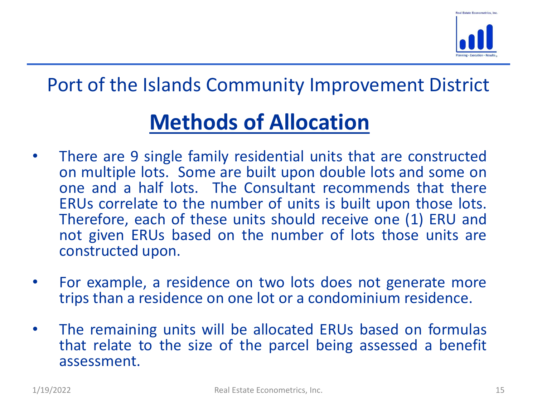

# Methods of Allocation

- **France Community Improvement District**<br>
 There are 9 single family residential units that are constructed<br>
 There are 9 single family residential units that are constructed<br>
on multiple lots. Some are built upon double ort of the Islands Community Improvement District<br> **Methods of Allocation**<br>
There are 9 single family residential units that are constructed<br>
on multiple lots. Some are built upon double lots and some on<br>
one and a half lo ort of the Islands Community Improvement District<br> **Methods of Allocation**<br>
There are 9 single family residential units that are constructed<br>
one multiple lots. Some are built upon double lots and some on<br>
one and a half l **Example 18 ISS COMMON COMMON CONCORRED CONCORRED CONCORRED THERUS CONCORRED THERUS correlate to the Constant exponent on the number of units is built upon double lots and some on one and a half lots. The Constant recommen Solution School School School School School School School School School School School School School School School School School School School School School and a half lots. The Consultant recommends that there ERUs correl** ort of the Islands Community Improvement District<br> **Methods of Allocation**<br>
There are 9 single family residential units that are constructed<br>
on multiple lots. Some are built upon double lots and some on<br>
one and a half lo **Methods of Allocation**<br>
There are 9 single family residential units that<br>
on multiple lots. Some are built upon double<br>
one and a half lots. The Consultant recom<br>
ERUs correlate to the number of units is buil<br>
Therefore, **• • •** There are 9 single family residential units that are constructed on multiple lots. Some are built upon double lots and some on one and a half lots. The Consultant recommends that there ERUs correlate to the number There are 9 single family residential units that are constructed<br>on multiple lots. Some are built upon double lots and some on<br>one and a half lots. The Consultant recommends that there<br>ERUs correlate to the number of units • The remaining units will be allocated ERUs based a benefit assessment.<br>• The remaining units will be allocated to the number of units is built upon those lots.<br>• Therefore, each of these units should receive one (1) ERU one and a half lots. The Consultant recommends that there<br>ERUs correlate to the number of units is built upon those lots.<br>Therefore, each of these units should receive one (1) ERU and<br>not given ERUs based on the number of
- 
- Therefore, each of these units should feceive one (1) END and<br>not given ERUs based on the number of lots those units are<br>constructed upon.<br>• For example, a residence on two lots does not generate more<br>trips than a residenc assessment.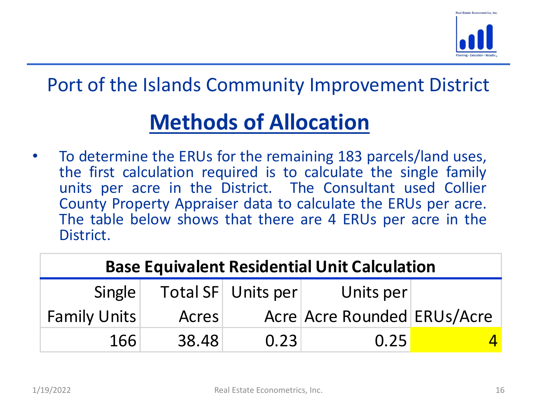

# Methods of Allocation

**Fort of the Islands Community Improvement District**<br> **Methods of Allocation**<br>
• To determine the ERUs for the remaining 183 parcels/land uses,<br>
the first calculation required is to calculate the single family<br>
units per a ort of the Islands Community Improvement District<br> **Methods of Allocation**<br>
To determine the ERUs for the remaining 183 parcels/land uses,<br>
the first calculation required is to calculate the single family<br>
units per acre i **Source 19 The Example 19 The Community Improvement District**<br> **Methods of Allocation**<br>
To determine the ERUs for the remaining 183 parcels/land uses,<br>
the first calculation required is to calculate the single family<br>
unit **County of the Islands Community Improvement District**<br> **Methods of Allocation**<br>
To determine the ERUs for the remaining 183 parcels/land uses,<br>
the first calculation required is to calculate the single family<br>
County Prop **Example 12**<br>
To determine the ERUs for the remaining 183 parcels/land uses,<br>
To determine the ERUs for the remaining 183 parcels/land uses,<br>
the first calculation required is to calculate the single family<br>
units per acre District.

| $\bullet$ | District.           |                 |           | To determine the ERUs for the remaining 183 parcels/land uses,<br>the first calculation required is to calculate the single family<br>units per acre in the District. The Consultant used Collier<br>County Property Appraiser data to calculate the ERUs per acre.<br>The table below shows that there are 4 ERUs per acre in the |  |
|-----------|---------------------|-----------------|-----------|------------------------------------------------------------------------------------------------------------------------------------------------------------------------------------------------------------------------------------------------------------------------------------------------------------------------------------|--|
|           |                     |                 |           | <b>Base Equivalent Residential Unit Calculation</b>                                                                                                                                                                                                                                                                                |  |
|           | Single              | <b>Total SF</b> | Units per | Units per                                                                                                                                                                                                                                                                                                                          |  |
|           | <b>Family Units</b> | <b>Acres</b>    |           | Acre Acre Rounded ERUs/Acre                                                                                                                                                                                                                                                                                                        |  |
|           | 166                 | 38.48           | 0.23      | 0.25                                                                                                                                                                                                                                                                                                                               |  |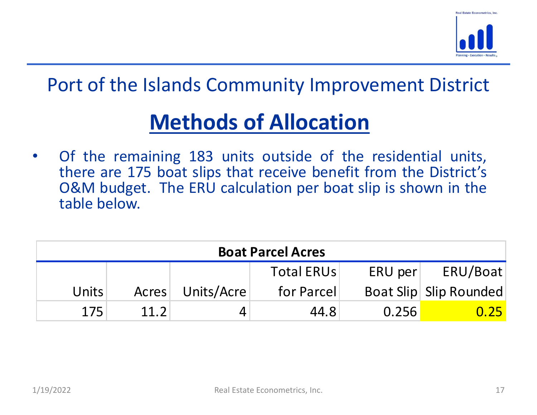

# Methods of Allocation

**France Community Improvement District**<br>
• Of the remaining 183 units outside of the residential units,<br>
• Of the remaining 183 units outside of the residential units,<br>
there are 175 boat slips that receive benefit from th ort of the Islands Community Improvement District<br>
Methods of Allocation<br>
Of the remaining 183 units outside of the residential units,<br>
there are 175 boat slips that receive benefit from the District's<br>
O&M budget. The ERU ON EXECUTE: Note of the Islands Community Improvement District<br>
Of the remaining 183 units outside of the residential units,<br>
there are 175 boat slips that receive benefit from the District's<br>
O&M budget. The ERU calculati ort of the Islands Community In<br>
Methods of Alloc<br>
Of the remaining 183 units outside<br>
there are 175 boat slips that receive b<br>
O&M budget. The ERU calculation per<br>
table below.<br>
Boat Parcel Acre

| Of the remaining 183 units outside of the residential units,<br>$\bullet$<br>there are 175 boat slips that receive benefit from the District's<br>O&M budget. The ERU calculation per boat slip is shown in the<br>table below.<br><b>Boat Parcel Acres</b><br><b>Total ERUs</b><br>ERU per<br>Units/Acre<br><b>Units</b><br>for Parcel<br>Boat Slip Slip Rounded<br>Acres<br>11.2<br>175<br>44.8<br>0.256<br>4<br>Real Estate Econometrics, Inc. |           |  |  |          |
|---------------------------------------------------------------------------------------------------------------------------------------------------------------------------------------------------------------------------------------------------------------------------------------------------------------------------------------------------------------------------------------------------------------------------------------------------|-----------|--|--|----------|
|                                                                                                                                                                                                                                                                                                                                                                                                                                                   |           |  |  |          |
|                                                                                                                                                                                                                                                                                                                                                                                                                                                   |           |  |  |          |
|                                                                                                                                                                                                                                                                                                                                                                                                                                                   |           |  |  | ERU/Boat |
|                                                                                                                                                                                                                                                                                                                                                                                                                                                   |           |  |  |          |
|                                                                                                                                                                                                                                                                                                                                                                                                                                                   |           |  |  | 0.25     |
|                                                                                                                                                                                                                                                                                                                                                                                                                                                   | 1/19/2022 |  |  | 17       |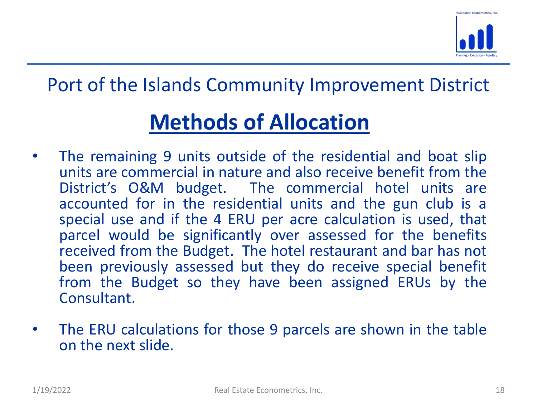

# Methods of Allocation

- Special use and if the 4 ENO per acte calculation is used, that<br>parcel would be significantly over assessed for the benefits<br>received from the Budget. The hotel restaurant and bar has not<br>been previously assessed but they **Fraction Section 19 and Scheme II Server Controller**<br>
• The remaining 9 units outside of the residential and boat slip<br>
units are commercial in nature and also receive benefit from the<br>
District's O&M budget. The commerci **units are commercial in the Community Improvement District**<br> **Exercise of Allocation**<br>
The remaining 9 units outside of the residential and boat slip<br>
units are commercial in nature and also receive benefit from the<br>
Dist ort of the Islands Community Improvement District<br> **Methods of Allocation**<br>
The remaining 9 units outside of the residential and boat slip<br>
Units are commercial in nature and also receive benefit from the<br>
District's O&M b **Exercise 15 and SCOMMON COMMON CONCORRED CONCORRED CONCORRED THE remaining 9 units outside of the residential and boat slip units are commercial in nature and also receive benefit from the District's O&M budget. The comme Super Community Improvement District**<br> **Super Community Improvement District**<br>
The remaining 9 units outside of the residential and boat slip<br>
units are commercial in nature and also receive benefit from the<br>
District's O ort of the Islands Community Improvement District<br> **Methods of Allocation**<br>
The remaining 9 units outside of the residential and boat slip<br>
units are commercial in nature and also receive benefit from the<br>
District's O&M b **Methods of Allocation**<br>**Methods of Allocation**<br>The remaining 9 units outside of the residential and boat slip<br>units are commercial in nature and also receive benefit from the<br>District's O&M budget. The commercial hotel un **Methods of Allocation**<br>The remaining 9 units outside of the residential and boat slip<br>units are commercial in nature and also receive benefit from the<br>District's O&M budget. The commercial hotel units are<br>accounted for in **Methods of Allocation**<br>The remaining 9 units outside of the residential and boat slip<br>units are commercial in nature and also receive benefit from the<br>District's O&M budget. The commercial hotel units are<br>accounted for in Consultant. units are commercial in nature and also receive benefit from the<br>District's O&M budget. The commercial hotel units are<br>accounted for in the residential units and the gun club is a<br>special use and if the 4 ERU per acre calc District's O&M budget. The commercial accounted for in the residential units and special use and if the 4 ERU per acre calcul parcel would be significantly over assessed received from the Budget. The hotel restauration bee
-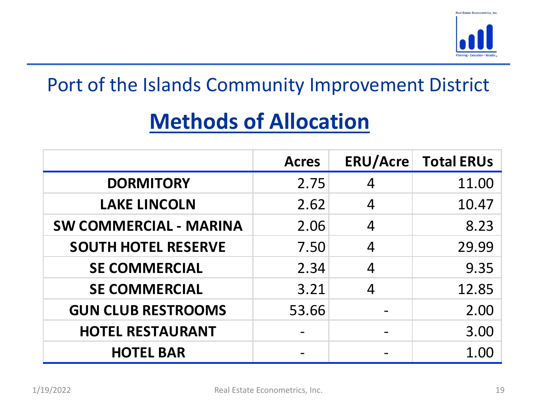

# Methods of Allocation

|                                                    |              |                                                                                                                                                   | <b>Real Estate Econometrics, Inc.</b> |
|----------------------------------------------------|--------------|---------------------------------------------------------------------------------------------------------------------------------------------------|---------------------------------------|
| Port of the Islands Community Improvement District |              |                                                                                                                                                   |                                       |
| <b>Methods of Allocation</b>                       |              |                                                                                                                                                   |                                       |
|                                                    | <b>Acres</b> | <b>ERU/Acre</b>                                                                                                                                   | <b>Total ERUs</b>                     |
| <b>DORMITORY</b>                                   | 2.75         | $\overline{4}$                                                                                                                                    | 11.00                                 |
| <b>LAKE LINCOLN</b>                                | 2.62         | $\overline{4}$                                                                                                                                    | 10.47                                 |
| <b>SW COMMERCIAL - MARINA</b>                      | 2.06         | $\overline{4}$                                                                                                                                    | 8.23                                  |
| <b>SOUTH HOTEL RESERVE</b>                         | 7.50         | $\overline{4}$                                                                                                                                    | 29.99                                 |
| <b>SE COMMERCIAL</b>                               | 2.34         | $\overline{4}$                                                                                                                                    | 9.35                                  |
| <b>SE COMMERCIAL</b>                               | 3.21         | $\overline{4}$                                                                                                                                    | 12.85                                 |
| <b>GUN CLUB RESTROOMS</b>                          | 53.66        |                                                                                                                                                   | 2.00                                  |
| <b>HOTEL RESTAURANT</b>                            |              | $\hskip1.6pt\hskip1.6pt\hskip1.6pt\hskip1.6pt\hskip1.6pt\hskip1.6pt\hskip1.6pt\hskip1.6pt\hskip1.6pt\hskip1.6pt\hskip1.6pt\hskip1.6pt\hskip1.6pt$ | 3.00                                  |
| <b>HOTEL BAR</b>                                   |              |                                                                                                                                                   | 1.00                                  |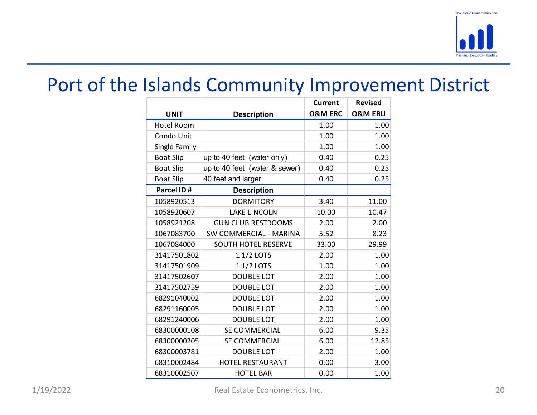

|                  | Port of the Islands Community Improvement District |                    |                    |
|------------------|----------------------------------------------------|--------------------|--------------------|
|                  |                                                    | <b>Current</b>     | <b>Revised</b>     |
| <b>UNIT</b>      | <b>Description</b>                                 | <b>O&amp;M ERC</b> | <b>O&amp;M ERU</b> |
| Hotel Room       |                                                    | 1.00               | 1.00               |
| Condo Unit       |                                                    | 1.00               | 1.00               |
| Single Family    |                                                    | 1.00               | 1.00               |
| <b>Boat Slip</b> | up to 40 feet (water only)                         | 0.40               | 0.25               |
| <b>Boat Slip</b> | $\mu$ to 40 feet (water & sewer)                   | 0.40               | 0.25               |
| <b>Boat Slip</b> | 40 feet and larger                                 | 0.40               | 0.25               |
| Parcel ID#       | <b>Description</b>                                 |                    |                    |
| 1058920513       | <b>DORMITORY</b>                                   | 3.40               | 11.00              |
| 1058920607       | <b>LAKE LINCOLN</b>                                | 10.00              | 10.47              |
| 1058921208       | <b>GUN CLUB RESTROOMS</b>                          | 2.00               | 2.00               |
| 1067083700       | SW COMMERCIAL - MARINA                             | 5.52               | 8.23               |
| 1067084000       | SOUTH HOTEL RESERVE                                | 33.00              | 29.99              |
| 31417501802      | 1 1/2 LOTS                                         | 2.00               | 1.00               |
| 31417501909      | 1 1/2 LOTS                                         | 1.00               | 1.00               |
| 31417502607      | <b>DOUBLE LOT</b>                                  | 2.00               | 1.00               |
| 31417502759      | <b>DOUBLE LOT</b>                                  | 2.00               | 1.00               |
| 68291040002      | DOUBLE LOT                                         | 2.00               | 1.00               |
| 68291160005      | <b>DOUBLE LOT</b>                                  | 2.00               | 1.00               |
| 68291240006      | DOUBLE LOT                                         | 2.00               | 1.00               |
| 68300000108      | SE COMMERCIAL                                      | 6.00               | 9.35               |
| 68300000205      | SE COMMERCIAL                                      | 6.00               | 12.85              |
| 68300003781      | DOUBLE LOT                                         | 2.00               | $1.00\,$           |
| 68310002484      | HOTEL RESTAURANT                                   | 0.00               | 3.00               |
| 68310002507      | <b>HOTEL BAR</b>                                   | 0.00               | 1.00               |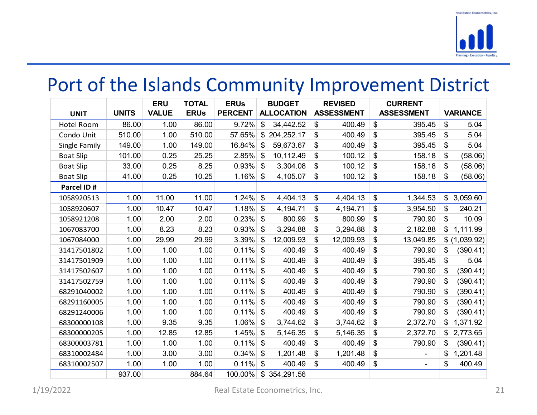|                                                    |              |                            |                             |                               |                                    |                                     |               |            |                                     |               | <b>Hanning-Execution-Result</b> |
|----------------------------------------------------|--------------|----------------------------|-----------------------------|-------------------------------|------------------------------------|-------------------------------------|---------------|------------|-------------------------------------|---------------|---------------------------------|
| Port of the Islands Community Improvement District |              |                            |                             |                               |                                    |                                     |               |            |                                     |               |                                 |
| <b>UNIT</b>                                        | <b>UNITS</b> | <b>ERU</b><br><b>VALUE</b> | <b>TOTAL</b><br><b>ERUs</b> | <b>ERUs</b><br><b>PERCENT</b> | <b>BUDGET</b><br><b>ALLOCATION</b> | <b>REVISED</b><br><b>ASSESSMENT</b> |               |            | <b>CURRENT</b><br><b>ASSESSMENT</b> |               | <b>VARIANCE</b>                 |
| <b>Hotel Room</b>                                  | 86.00        | 1.00                       | 86.00                       |                               | $9.72\%$ \$ 34,442.52              | \$                                  | 400.49        | \$         | 395.45                              | $\vert$ \$    | 5.04                            |
| Condo Unit                                         | 510.00       | 1.00                       | 510.00                      |                               | $57.65\%$ \$ 204,252.17            | \$                                  | 400.49        | -\$        | 395.45                              | $\vert$ \$    | 5.04                            |
| Single Family                                      | 149.00       | 1.00                       | 149.00                      | $16.84\%$ \$                  | $59,673.67$ \\$                    |                                     | 400.49        | -\$        | $395.45$ \$                         |               | 5.04                            |
| <b>Boat Slip</b>                                   | 101.00       | 0.25                       | 25.25                       | $2.85\%$ \$                   | $10, 112.49$ \$                    |                                     | 100.12        | -\$        | 158.18                              | -\$           | (58.06)                         |
| <b>Boat Slip</b>                                   | 33.00        | 0.25                       | 8.25                        | $0.93\%$ \$                   | $3,304.08$ \$                      |                                     | $100.12$ \ \$ |            | $158.18$ \$                         |               | (58.06)                         |
| <b>Boat Slip</b>                                   | 41.00        | 0.25                       | 10.25                       | $1.16\%$ \$                   | $4,105.07$ \$                      |                                     | $100.12$ \ \$ |            | $158.18$ \$                         |               | (58.06)                         |
| Parcel ID#                                         |              |                            |                             |                               |                                    |                                     |               |            |                                     |               |                                 |
| 1058920513                                         | 1.00         | 11.00                      | 11.00                       | $1.24\%$ \$                   | $4,404.13$ \$                      |                                     | $4,404.13$ \$ |            | 1,344.53                            |               | \$3,059.60                      |
| 1058920607                                         | 1.00         | 10.47                      | 10.47                       | $1.18\%$ \$                   | $4,194.71$ \$                      | 4,194.71                            |               | -\$        | 3,954.50                            | -\$           | 240.21                          |
| 1058921208                                         | 1.00         | 2.00                       | 2.00                        | $0.23\%$ \$                   | $800.99$ \$                        |                                     | 800.99        | -\$        | 790.90                              | -\$           | 10.09                           |
| 1067083700                                         | 1.00         | 8.23                       | 8.23                        | $0.93\%$ \$                   | 3,294.88                           | 3,294.88<br>-\$                     | \$            |            | 2,182.88                            |               | \$1,111.99                      |
| 1067084000                                         | 1.00         | 29.99                      | 29.99                       | $3.39\%$ \$                   | 12,009.93                          | 12,009.93<br>\$                     |               | \$         | $13,049.85$ \$ (1,039.92)           |               |                                 |
| 31417501802                                        | 1.00         | 1.00                       | 1.00                        | $0.11\%$ \$                   | $400.49$ \$                        |                                     | 400.49        | -\$        | 790.90                              | \$            | (390.41)                        |
| 31417501909                                        | 1.00         | 1.00                       | 1.00                        | $0.11\%$ \$                   | $400.49$ \$                        |                                     | $400.49$ \\$  |            | $395.45$ \$                         |               | 5.04                            |
| 31417502607                                        | 1.00         | 1.00                       | 1.00                        | $0.11\%$ \$                   | $400.49$ \\$                       |                                     | 400.49        | ∣\$        | $790.90$ \$                         |               | (390.41)                        |
| 31417502759                                        | 1.00         | 1.00                       | 1.00                        | $0.11\%$ \$                   | $400.49$ \$                        |                                     | 400.49        | $\sqrt{3}$ | 790.90                              | $\frac{1}{2}$ | (390.41)                        |
| 68291040002                                        | 1.00         | 1.00                       | 1.00                        | $0.11\%$ \$                   | $400.49$ \$                        |                                     | 400.49        | \$         | 790.90                              | \$            | (390.41)                        |
| 68291160005                                        | 1.00         | 1.00                       | 1.00                        | $0.11\%$ \$                   | $400.49$ \$                        |                                     | $400.49$ \ \$ |            | 790.90                              | $\sqrt[6]{3}$ | (390.41)                        |
| 68291240006                                        | 1.00         | 1.00                       | 1.00                        | $0.11\%$ \$                   | $400.49$ \$                        |                                     | $400.49$ \ \$ |            | 790.90                              | \$            | (390.41)                        |
| 68300000108                                        | 1.00         | 9.35                       | 9.35                        | $1.06\%$ \$                   | $3,744.62$ \$                      |                                     | $3,744.62$ \$ |            | 2,372.70                            |               | \$1,371.92                      |
| 68300000205                                        | 1.00         | 12.85                      | 12.85                       | $1.45\%$ \$                   | $5,146.35$ \$                      | 5,146.35                            | ∣\$           |            | 2,372.70                            |               | \$2,773.65                      |
| 68300003781                                        | 1.00         | 1.00                       | 1.00                        | $0.11\%$ \$                   | $400.49$ \$                        |                                     | $400.49$ \ \$ |            | 790.90                              | \$            | (390.41)                        |
| 68310002484                                        | 1.00         | 3.00                       | 3.00                        | $0.34\%$ \$                   | $1,201.48$ \$                      |                                     | $1,201.48$ \$ |            |                                     | \$            | 1,201.48                        |
| 68310002507                                        | 1.00         | 1.00                       | 1.00                        | $0.11\%$ \$                   | 400.49                             | \$                                  | $400.49$ \ \$ |            | $\sim$                              | \$            | 400.49                          |
|                                                    | 937.00       |                            | 884.64                      | 100.00% \$ 354,291.56         |                                    |                                     |               |            |                                     |               |                                 |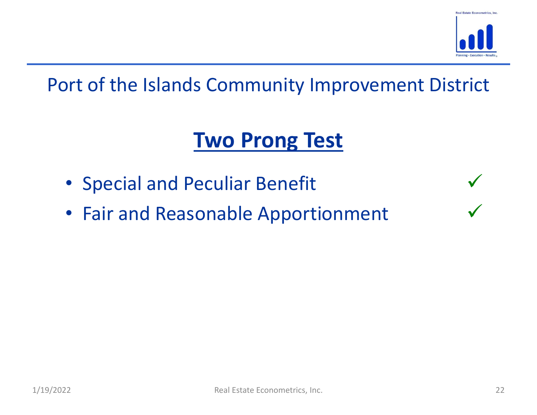

# Two Prong Test

- Special and Peculiar Benefit
- 1/19/2022<br>
Real Estate Econometrics, Inc. 22 • Fair and Reasonable Apportionment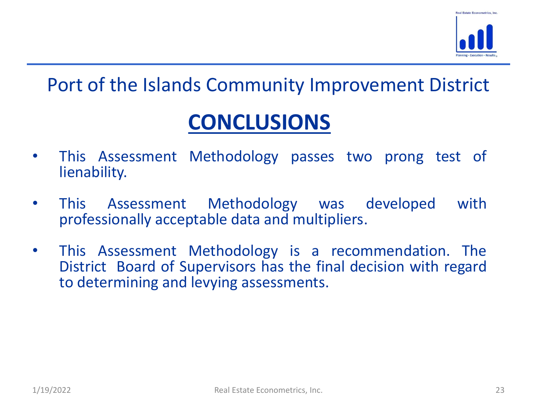

# CONCLUSIONS

- **Port of the Islands Community Improvement District**<br>
 This Assessment Methodology passes two prong test of<br>
 This Assessment Methodology was developed with lienability.
- **Port of the Islands Community Improvement District**<br>
 This Assessment Methodology passes two prong test of<br>
 This Assessment Methodology was developed with<br>
 This Assessment Methodology is a recommendation. The<br>
 This First of the Islands Community Improvement District<br> **CONCLUSIONS**<br>
This Assessment Methodology passes two prong test of<br>
Ilenability.<br>
This Assessment Methodology was developed with<br>
professionally acceptable data and mul
- This Assessment Methodology is a recommendation. The District Board of Supervisors has the final decision with regard to determining and levying assessments.<br>
1/19/2022 Real Estate Econometrics, Inc. 23 • This Assessment Methodology passes two prong test of lienability.<br>• This Assessment Methodology passes two prong test of lienability.<br>• This Assessment Methodology was developed with professionally acceptable data and mu **CONCLUSIONS**<br>This Assessment Methodology passes two prong test of<br>lienability.<br>This Assessment Methodology was developed with<br>professionally acceptable data and multipliers.<br>This Assessment Methodology is a recommendation **CONCLUSIONS**<br>This Assessment Methodology passes two prong test<br>lienability.<br>This Assessment Methodology was developed v<br>professionally acceptable data and multipliers.<br>This Assessment Methodology is a recommendation.<br>Dist